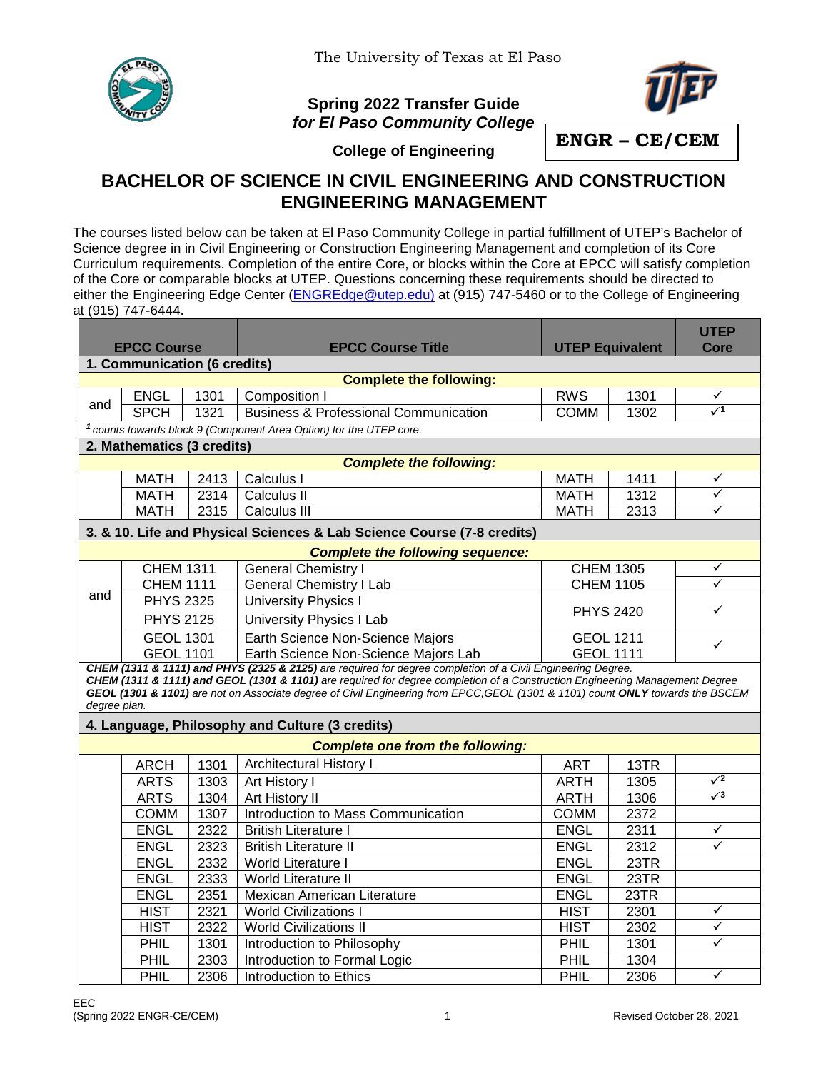

## **Spring 2022 Transfer Guide** *for El Paso Community College*



**ENGR – CE/CEM**

**College of Engineering**

## **BACHELOR OF SCIENCE IN CIVIL ENGINEERING AND CONSTRUCTION ENGINEERING MANAGEMENT**

The courses listed below can be taken at El Paso Community College in partial fulfillment of UTEP's Bachelor of Science degree in in Civil Engineering or Construction Engineering Management and completion of its Core Curriculum requirements. Completion of the entire Core, or blocks within the Core at EPCC will satisfy completion of the Core or comparable blocks at UTEP. Questions concerning these requirements should be directed to either the Engineering Edge Center [\(ENGREdge@utep.edu\)](mailto:ENGREdge@utep.edu) at (915) 747-5460 or to the College of Engineering at (915) 747-6444.

| <b>EPCC Course</b>                                                                                                                                                                                                                                                                                                                                                                            |                  |      | <b>EPCC Course Title</b>                                                       | <b>UTEP Equivalent</b> |      | <b>UTEP</b><br>Core  |  |  |  |  |  |  |
|-----------------------------------------------------------------------------------------------------------------------------------------------------------------------------------------------------------------------------------------------------------------------------------------------------------------------------------------------------------------------------------------------|------------------|------|--------------------------------------------------------------------------------|------------------------|------|----------------------|--|--|--|--|--|--|
| 1. Communication (6 credits)                                                                                                                                                                                                                                                                                                                                                                  |                  |      |                                                                                |                        |      |                      |  |  |  |  |  |  |
| <b>Complete the following:</b>                                                                                                                                                                                                                                                                                                                                                                |                  |      |                                                                                |                        |      |                      |  |  |  |  |  |  |
|                                                                                                                                                                                                                                                                                                                                                                                               | <b>ENGL</b>      | 1301 | Composition                                                                    | <b>RWS</b>             | 1301 | ✓                    |  |  |  |  |  |  |
| and                                                                                                                                                                                                                                                                                                                                                                                           | <b>SPCH</b>      | 1321 | <b>Business &amp; Professional Communication</b>                               | <b>COMM</b>            | 1302 | $\sqrt{1}$           |  |  |  |  |  |  |
|                                                                                                                                                                                                                                                                                                                                                                                               |                  |      | <sup>1</sup> counts towards block 9 (Component Area Option) for the UTEP core. |                        |      |                      |  |  |  |  |  |  |
| 2. Mathematics (3 credits)                                                                                                                                                                                                                                                                                                                                                                    |                  |      |                                                                                |                        |      |                      |  |  |  |  |  |  |
| <b>Complete the following:</b>                                                                                                                                                                                                                                                                                                                                                                |                  |      |                                                                                |                        |      |                      |  |  |  |  |  |  |
|                                                                                                                                                                                                                                                                                                                                                                                               | <b>MATH</b>      | 2413 | Calculus I                                                                     | <b>MATH</b>            | 1411 | $\checkmark$         |  |  |  |  |  |  |
|                                                                                                                                                                                                                                                                                                                                                                                               | <b>MATH</b>      | 2314 | Calculus II                                                                    | <b>MATH</b>            | 1312 | $\checkmark$         |  |  |  |  |  |  |
|                                                                                                                                                                                                                                                                                                                                                                                               | <b>MATH</b>      | 2315 | Calculus III                                                                   | <b>MATH</b>            | 2313 | ✓                    |  |  |  |  |  |  |
| 3. & 10. Life and Physical Sciences & Lab Science Course (7-8 credits)                                                                                                                                                                                                                                                                                                                        |                  |      |                                                                                |                        |      |                      |  |  |  |  |  |  |
| <b>Complete the following sequence:</b>                                                                                                                                                                                                                                                                                                                                                       |                  |      |                                                                                |                        |      |                      |  |  |  |  |  |  |
|                                                                                                                                                                                                                                                                                                                                                                                               | <b>CHEM 1311</b> |      | <b>General Chemistry I</b>                                                     | <b>CHEM 1305</b>       |      | $\frac{\sqrt{2}}{2}$ |  |  |  |  |  |  |
|                                                                                                                                                                                                                                                                                                                                                                                               | <b>CHEM 1111</b> |      | <b>General Chemistry I Lab</b>                                                 | <b>CHEM 1105</b>       |      |                      |  |  |  |  |  |  |
| and                                                                                                                                                                                                                                                                                                                                                                                           | <b>PHYS 2325</b> |      | <b>University Physics I</b>                                                    | <b>PHYS 2420</b><br>✓  |      |                      |  |  |  |  |  |  |
|                                                                                                                                                                                                                                                                                                                                                                                               | <b>PHYS 2125</b> |      | <b>University Physics I Lab</b>                                                |                        |      |                      |  |  |  |  |  |  |
|                                                                                                                                                                                                                                                                                                                                                                                               | <b>GEOL 1301</b> |      | Earth Science Non-Science Majors                                               | <b>GEOL 1211</b>       |      | $\checkmark$         |  |  |  |  |  |  |
|                                                                                                                                                                                                                                                                                                                                                                                               | <b>GEOL 1101</b> |      | Earth Science Non-Science Majors Lab                                           | <b>GEOL 1111</b>       |      |                      |  |  |  |  |  |  |
| CHEM (1311 & 1111) and PHYS (2325 & 2125) are required for degree completion of a Civil Engineering Degree.<br>CHEM (1311 & 1111) and GEOL (1301 & 1101) are required for degree completion of a Construction Engineering Management Degree<br>GEOL (1301 & 1101) are not on Associate degree of Civil Engineering from EPCC, GEOL (1301 & 1101) count ONLY towards the BSCEM<br>degree plan. |                  |      |                                                                                |                        |      |                      |  |  |  |  |  |  |
| 4. Language, Philosophy and Culture (3 credits)                                                                                                                                                                                                                                                                                                                                               |                  |      |                                                                                |                        |      |                      |  |  |  |  |  |  |
|                                                                                                                                                                                                                                                                                                                                                                                               |                  |      | <b>Complete one from the following:</b>                                        |                        |      |                      |  |  |  |  |  |  |
|                                                                                                                                                                                                                                                                                                                                                                                               | <b>ARCH</b>      | 1301 | <b>Architectural History I</b>                                                 | <b>ART</b>             | 13TR |                      |  |  |  |  |  |  |
|                                                                                                                                                                                                                                                                                                                                                                                               | <b>ARTS</b>      | 1303 | Art History I                                                                  | <b>ARTH</b>            | 1305 | $\sqrt{2}$           |  |  |  |  |  |  |
|                                                                                                                                                                                                                                                                                                                                                                                               | <b>ARTS</b>      | 1304 | Art History II                                                                 | <b>ARTH</b>            | 1306 | $\sqrt{3}$           |  |  |  |  |  |  |
|                                                                                                                                                                                                                                                                                                                                                                                               | <b>COMM</b>      | 1307 | Introduction to Mass Communication                                             | <b>COMM</b>            | 2372 |                      |  |  |  |  |  |  |
|                                                                                                                                                                                                                                                                                                                                                                                               | <b>ENGL</b>      | 2322 | <b>British Literature I</b>                                                    | <b>ENGL</b>            | 2311 | $\checkmark$         |  |  |  |  |  |  |
|                                                                                                                                                                                                                                                                                                                                                                                               | <b>ENGL</b>      | 2323 | <b>British Literature II</b>                                                   | <b>ENGL</b>            | 2312 | $\checkmark$         |  |  |  |  |  |  |
|                                                                                                                                                                                                                                                                                                                                                                                               | <b>ENGL</b>      | 2332 | World Literature I                                                             | <b>ENGL</b>            | 23TR |                      |  |  |  |  |  |  |
|                                                                                                                                                                                                                                                                                                                                                                                               | <b>ENGL</b>      | 2333 | World Literature II                                                            | <b>ENGL</b>            | 23TR |                      |  |  |  |  |  |  |
|                                                                                                                                                                                                                                                                                                                                                                                               | <b>ENGL</b>      | 2351 | Mexican American Literature                                                    | <b>ENGL</b>            | 23TR |                      |  |  |  |  |  |  |
|                                                                                                                                                                                                                                                                                                                                                                                               | <b>HIST</b>      | 2321 | <b>World Civilizations I</b>                                                   | <b>HIST</b>            | 2301 | ✓                    |  |  |  |  |  |  |
|                                                                                                                                                                                                                                                                                                                                                                                               | <b>HIST</b>      | 2322 | <b>World Civilizations II</b>                                                  | <b>HIST</b>            | 2302 | $\checkmark$         |  |  |  |  |  |  |
|                                                                                                                                                                                                                                                                                                                                                                                               | PHIL             | 1301 | Introduction to Philosophy                                                     | PHIL                   | 1301 | ✓                    |  |  |  |  |  |  |
|                                                                                                                                                                                                                                                                                                                                                                                               | PHIL             | 2303 | Introduction to Formal Logic                                                   | PHIL                   | 1304 |                      |  |  |  |  |  |  |
|                                                                                                                                                                                                                                                                                                                                                                                               | PHIL             | 2306 | Introduction to Ethics                                                         | PHIL                   | 2306 | $\checkmark$         |  |  |  |  |  |  |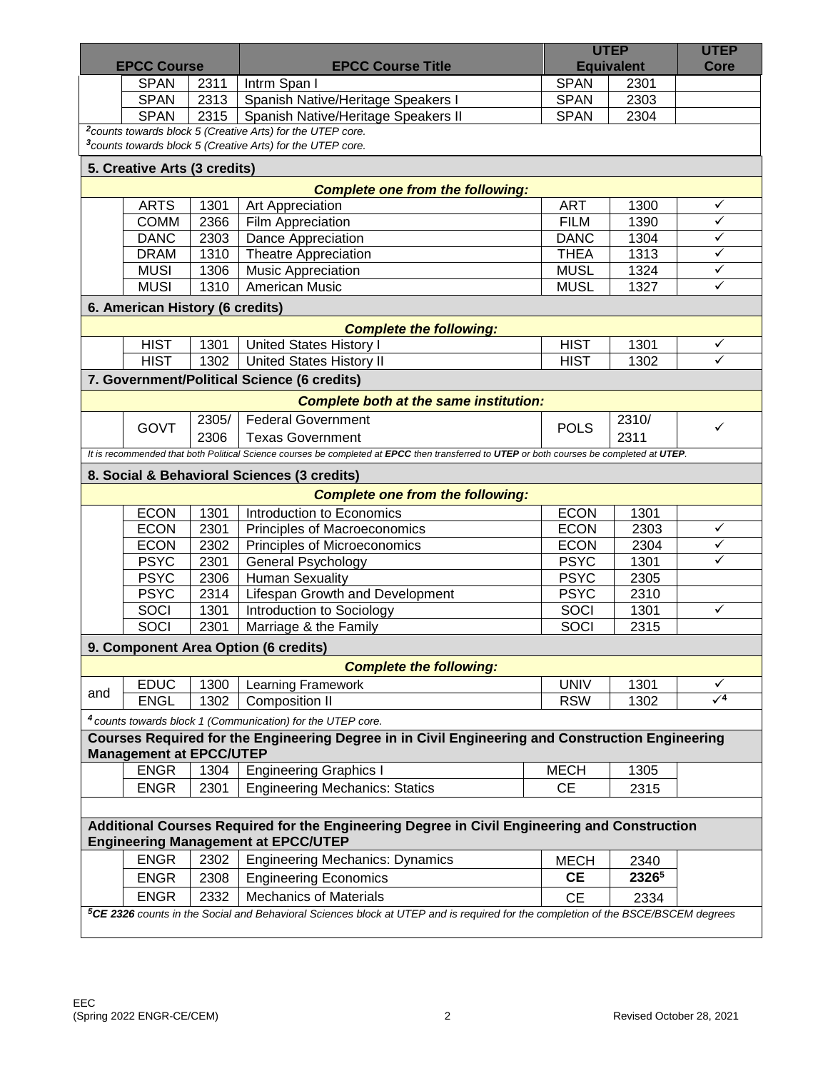|                                                                                              |                                                                                                                                              |              |                                                                                                                                           | <b>UTEP</b>                |              | <b>UTEP</b>  |  |  |  |  |  |
|----------------------------------------------------------------------------------------------|----------------------------------------------------------------------------------------------------------------------------------------------|--------------|-------------------------------------------------------------------------------------------------------------------------------------------|----------------------------|--------------|--------------|--|--|--|--|--|
| <b>EPCC Course</b>                                                                           |                                                                                                                                              |              | <b>EPCC Course Title</b>                                                                                                                  | <b>Equivalent</b>          |              | Core         |  |  |  |  |  |
|                                                                                              | <b>SPAN</b>                                                                                                                                  | 2311         | Intrm Span I                                                                                                                              | <b>SPAN</b>                | 2301         |              |  |  |  |  |  |
|                                                                                              | <b>SPAN</b>                                                                                                                                  | 2313         | Spanish Native/Heritage Speakers I                                                                                                        | <b>SPAN</b>                | 2303         |              |  |  |  |  |  |
|                                                                                              | <b>SPAN</b>                                                                                                                                  | 2315         | Spanish Native/Heritage Speakers II                                                                                                       | <b>SPAN</b>                | 2304         |              |  |  |  |  |  |
|                                                                                              |                                                                                                                                              |              | <sup>2</sup> counts towards block 5 (Creative Arts) for the UTEP core.                                                                    |                            |              |              |  |  |  |  |  |
| <sup>3</sup> counts towards block 5 (Creative Arts) for the UTEP core.                       |                                                                                                                                              |              |                                                                                                                                           |                            |              |              |  |  |  |  |  |
| 5. Creative Arts (3 credits)                                                                 |                                                                                                                                              |              |                                                                                                                                           |                            |              |              |  |  |  |  |  |
|                                                                                              |                                                                                                                                              |              | <b>Complete one from the following:</b>                                                                                                   |                            |              |              |  |  |  |  |  |
|                                                                                              | <b>ARTS</b>                                                                                                                                  | 1301         | Art Appreciation                                                                                                                          | <b>ART</b>                 | 1300         | ✓            |  |  |  |  |  |
|                                                                                              | <b>COMM</b>                                                                                                                                  | 2366         | Film Appreciation                                                                                                                         | <b>FILM</b>                | 1390         | ✓            |  |  |  |  |  |
|                                                                                              | <b>DANC</b>                                                                                                                                  | 2303         | Dance Appreciation                                                                                                                        | <b>DANC</b>                | 1304         | ✓            |  |  |  |  |  |
|                                                                                              | <b>DRAM</b>                                                                                                                                  | 1310         | Theatre Appreciation                                                                                                                      | <b>THEA</b>                | 1313         | ✓            |  |  |  |  |  |
|                                                                                              | <b>MUSI</b>                                                                                                                                  | 1306         | <b>Music Appreciation</b>                                                                                                                 | <b>MUSL</b>                | 1324         | ✓            |  |  |  |  |  |
|                                                                                              | <b>MUSI</b>                                                                                                                                  | 1310         | <b>American Music</b>                                                                                                                     | <b>MUSL</b>                | 1327         | ✓            |  |  |  |  |  |
|                                                                                              |                                                                                                                                              |              |                                                                                                                                           |                            |              |              |  |  |  |  |  |
| 6. American History (6 credits)                                                              |                                                                                                                                              |              |                                                                                                                                           |                            |              |              |  |  |  |  |  |
|                                                                                              |                                                                                                                                              |              | <b>Complete the following:</b>                                                                                                            | <b>HIST</b>                | 1301         | ✓            |  |  |  |  |  |
|                                                                                              | <b>HIST</b><br><b>HIST</b>                                                                                                                   | 1301<br>1302 | <b>United States History I</b>                                                                                                            | <b>HIST</b>                |              | ✓            |  |  |  |  |  |
|                                                                                              |                                                                                                                                              |              | <b>United States History II</b>                                                                                                           |                            | 1302         |              |  |  |  |  |  |
|                                                                                              |                                                                                                                                              |              | 7. Government/Political Science (6 credits)                                                                                               |                            |              |              |  |  |  |  |  |
|                                                                                              |                                                                                                                                              |              | <b>Complete both at the same institution:</b>                                                                                             |                            |              |              |  |  |  |  |  |
|                                                                                              | GOVT                                                                                                                                         | 2305/        | <b>Federal Government</b>                                                                                                                 | <b>POLS</b>                | 2310/        | ✓            |  |  |  |  |  |
|                                                                                              |                                                                                                                                              | 2306         | <b>Texas Government</b>                                                                                                                   |                            | 2311         |              |  |  |  |  |  |
|                                                                                              |                                                                                                                                              |              | It is recommended that both Political Science courses be completed at EPCC then transferred to UTEP or both courses be completed at UTEP. |                            |              |              |  |  |  |  |  |
|                                                                                              |                                                                                                                                              |              | 8. Social & Behavioral Sciences (3 credits)                                                                                               |                            |              |              |  |  |  |  |  |
|                                                                                              |                                                                                                                                              |              | <b>Complete one from the following:</b>                                                                                                   |                            |              |              |  |  |  |  |  |
|                                                                                              |                                                                                                                                              |              | Introduction to Economics                                                                                                                 |                            |              |              |  |  |  |  |  |
|                                                                                              | <b>ECON</b><br><b>ECON</b>                                                                                                                   | 1301<br>2301 |                                                                                                                                           | <b>ECON</b><br><b>ECON</b> | 1301         | ✓            |  |  |  |  |  |
|                                                                                              |                                                                                                                                              | 2302         | Principles of Macroeconomics                                                                                                              | <b>ECON</b>                | 2303<br>2304 | $\checkmark$ |  |  |  |  |  |
|                                                                                              | <b>ECON</b><br><b>PSYC</b>                                                                                                                   | 2301         | Principles of Microeconomics                                                                                                              | <b>PSYC</b>                | 1301         | $\checkmark$ |  |  |  |  |  |
|                                                                                              | <b>PSYC</b>                                                                                                                                  | 2306         | <b>General Psychology</b><br><b>Human Sexuality</b>                                                                                       | <b>PSYC</b>                | 2305         |              |  |  |  |  |  |
|                                                                                              | <b>PSYC</b>                                                                                                                                  | 2314         | Lifespan Growth and Development                                                                                                           | <b>PSYC</b>                | 2310         |              |  |  |  |  |  |
|                                                                                              | SOCI                                                                                                                                         | 1301         |                                                                                                                                           | <b>SOCI</b>                | 1301         | $\checkmark$ |  |  |  |  |  |
|                                                                                              | SOCI                                                                                                                                         | 2301         | Introduction to Sociology<br>Marriage & the Family                                                                                        | SOCI                       | 2315         |              |  |  |  |  |  |
|                                                                                              |                                                                                                                                              |              |                                                                                                                                           |                            |              |              |  |  |  |  |  |
|                                                                                              |                                                                                                                                              |              | 9. Component Area Option (6 credits)                                                                                                      |                            |              |              |  |  |  |  |  |
|                                                                                              |                                                                                                                                              |              | <b>Complete the following:</b>                                                                                                            |                            |              |              |  |  |  |  |  |
| and                                                                                          | <b>EDUC</b>                                                                                                                                  | 1300         | Learning Framework                                                                                                                        | <b>UNIV</b>                | 1301         | ✓            |  |  |  |  |  |
|                                                                                              | <b>ENGL</b>                                                                                                                                  | 1302         | <b>Composition II</b>                                                                                                                     | <b>RSW</b>                 | 1302         | $\sqrt{4}$   |  |  |  |  |  |
|                                                                                              |                                                                                                                                              |              | <sup>4</sup> counts towards block 1 (Communication) for the UTEP core.                                                                    |                            |              |              |  |  |  |  |  |
|                                                                                              |                                                                                                                                              |              | Courses Required for the Engineering Degree in in Civil Engineering and Construction Engineering                                          |                            |              |              |  |  |  |  |  |
|                                                                                              | <b>Management at EPCC/UTEP</b>                                                                                                               |              |                                                                                                                                           |                            |              |              |  |  |  |  |  |
|                                                                                              | <b>ENGR</b>                                                                                                                                  | 1304         | <b>Engineering Graphics I</b>                                                                                                             | <b>MECH</b>                | 1305         |              |  |  |  |  |  |
|                                                                                              | <b>ENGR</b>                                                                                                                                  | 2301         | <b>Engineering Mechanics: Statics</b>                                                                                                     | <b>CE</b>                  | 2315         |              |  |  |  |  |  |
|                                                                                              |                                                                                                                                              |              |                                                                                                                                           |                            |              |              |  |  |  |  |  |
| Additional Courses Required for the Engineering Degree in Civil Engineering and Construction |                                                                                                                                              |              |                                                                                                                                           |                            |              |              |  |  |  |  |  |
| <b>Engineering Management at EPCC/UTEP</b>                                                   |                                                                                                                                              |              |                                                                                                                                           |                            |              |              |  |  |  |  |  |
|                                                                                              | <b>ENGR</b>                                                                                                                                  | 2302         | <b>Engineering Mechanics: Dynamics</b>                                                                                                    | <b>MECH</b>                | 2340         |              |  |  |  |  |  |
|                                                                                              | <b>ENGR</b>                                                                                                                                  | 2308         | <b>Engineering Economics</b>                                                                                                              | <b>CE</b>                  | 23265        |              |  |  |  |  |  |
|                                                                                              |                                                                                                                                              |              |                                                                                                                                           |                            |              |              |  |  |  |  |  |
|                                                                                              | <b>ENGR</b>                                                                                                                                  | 2332         | <b>Mechanics of Materials</b>                                                                                                             | <b>CE</b>                  | 2334         |              |  |  |  |  |  |
|                                                                                              | <sup>5</sup> CE 2326 counts in the Social and Behavioral Sciences block at UTEP and is required for the completion of the BSCE/BSCEM degrees |              |                                                                                                                                           |                            |              |              |  |  |  |  |  |